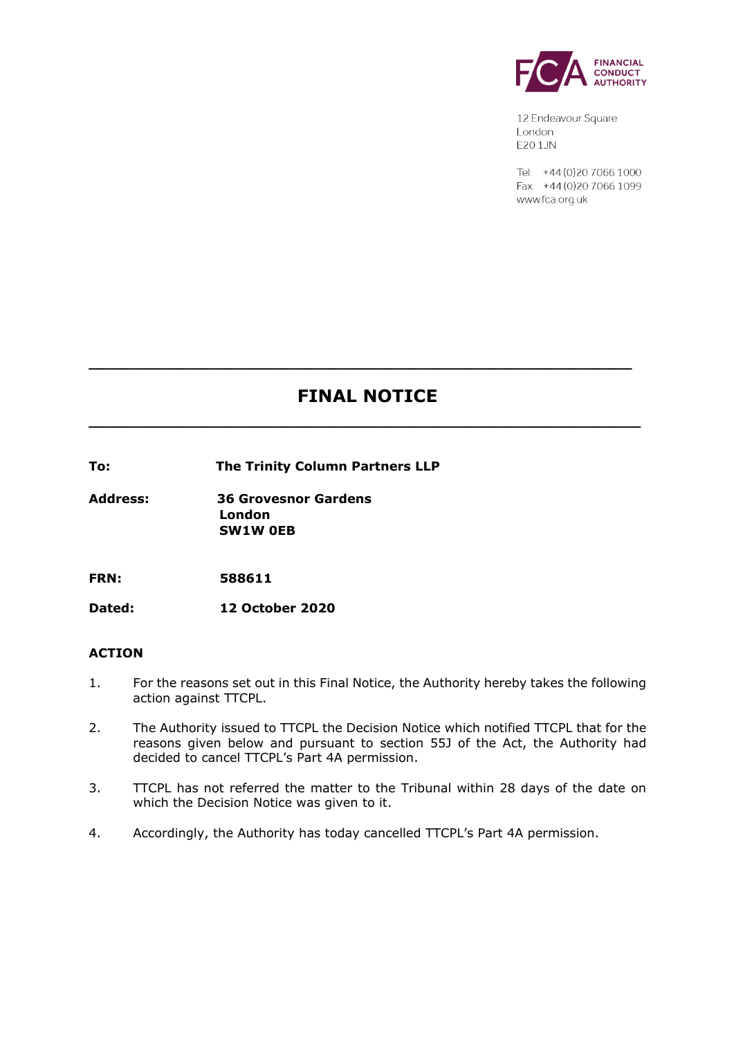

12 Endeavour Square London E201JN

Tel: +44 (0) 20 7066 1000 Fax: +44 (0) 20 7066 1099 www.fca.org.uk

# **FINAL NOTICE**

**\_\_\_\_\_\_\_\_\_\_\_\_\_\_\_\_\_\_\_\_\_\_\_\_\_\_\_\_\_\_\_\_\_\_\_\_\_\_\_\_\_\_\_\_\_\_\_\_\_\_\_\_\_\_\_\_\_\_\_\_\_\_\_**

**\_\_\_\_\_\_\_\_\_\_\_\_\_\_\_\_\_\_\_\_\_\_\_\_\_\_\_\_\_\_\_\_\_\_\_\_\_\_\_\_\_\_\_\_\_\_\_\_\_\_\_\_\_\_\_\_\_\_\_\_\_\_**

**To: The Trinity Column Partners LLP**

**Address: 36 Grovesnor Gardens London SW1W 0EB**

**FRN: 588611**

**Dated: 12 October 2020**

### **ACTION**

- 1. For the reasons set out in this Final Notice, the Authority hereby takes the following action against TTCPL.
- 2. The Authority issued to TTCPL the Decision Notice which notified TTCPL that for the reasons given below and pursuant to section 55J of the Act, the Authority had decided to cancel TTCPL's Part 4A permission.
- 3. TTCPL has not referred the matter to the Tribunal within 28 days of the date on which the Decision Notice was given to it.
- 4. Accordingly, the Authority has today cancelled TTCPL's Part 4A permission.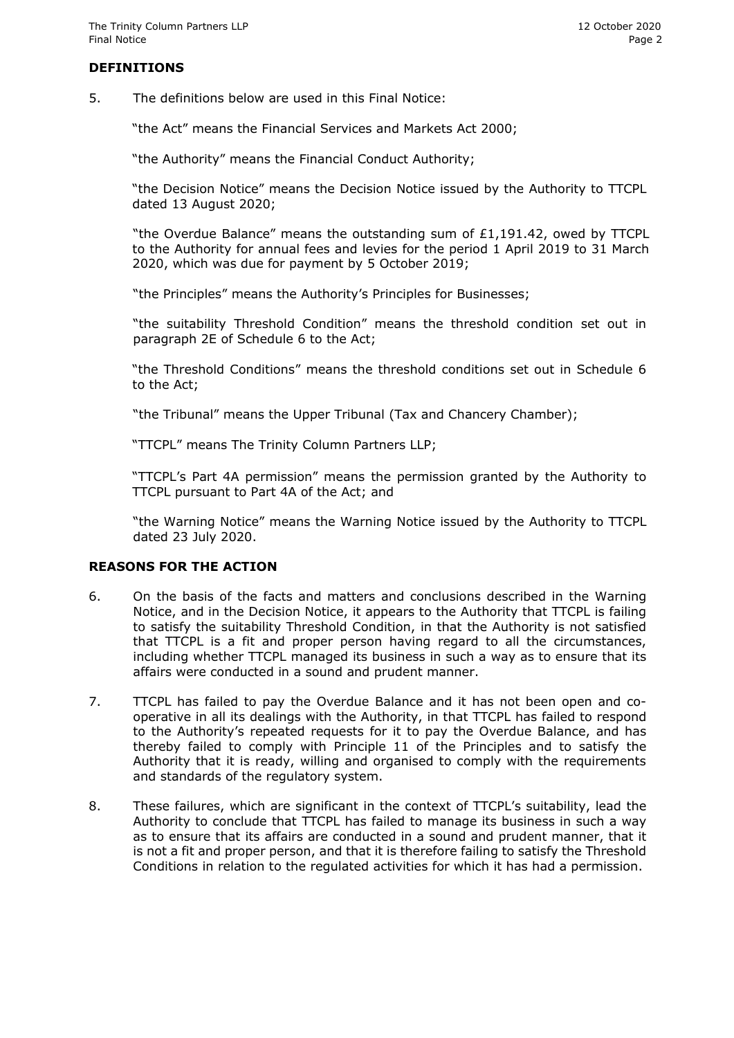# **DEFINITIONS**

5. The definitions below are used in this Final Notice:

"the Act" means the Financial Services and Markets Act 2000;

"the Authority" means the Financial Conduct Authority;

"the Decision Notice" means the Decision Notice issued by the Authority to TTCPL dated 13 August 2020;

"the Overdue Balance" means the outstanding sum of £1,191.42, owed by TTCPL to the Authority for annual fees and levies for the period 1 April 2019 to 31 March 2020, which was due for payment by 5 October 2019;

"the Principles" means the Authority's Principles for Businesses;

"the suitability Threshold Condition" means the threshold condition set out in paragraph 2E of Schedule 6 to the Act;

"the Threshold Conditions" means the threshold conditions set out in Schedule 6 to the Act;

"the Tribunal" means the Upper Tribunal (Tax and Chancery Chamber);

"TTCPL" means The Trinity Column Partners LLP;

"TTCPL's Part 4A permission" means the permission granted by the Authority to TTCPL pursuant to Part 4A of the Act; and

"the Warning Notice" means the Warning Notice issued by the Authority to TTCPL dated 23 July 2020.

### **REASONS FOR THE ACTION**

- 6. On the basis of the facts and matters and conclusions described in the Warning Notice, and in the Decision Notice, it appears to the Authority that TTCPL is failing to satisfy the suitability Threshold Condition, in that the Authority is not satisfied that TTCPL is a fit and proper person having regard to all the circumstances, including whether TTCPL managed its business in such a way as to ensure that its affairs were conducted in a sound and prudent manner.
- 7. TTCPL has failed to pay the Overdue Balance and it has not been open and cooperative in all its dealings with the Authority, in that TTCPL has failed to respond to the Authority's repeated requests for it to pay the Overdue Balance, and has thereby failed to comply with Principle 11 of the Principles and to satisfy the Authority that it is ready, willing and organised to comply with the requirements and standards of the regulatory system.
- 8. These failures, which are significant in the context of TTCPL's suitability, lead the Authority to conclude that TTCPL has failed to manage its business in such a way as to ensure that its affairs are conducted in a sound and prudent manner, that it is not a fit and proper person, and that it is therefore failing to satisfy the Threshold Conditions in relation to the regulated activities for which it has had a permission.